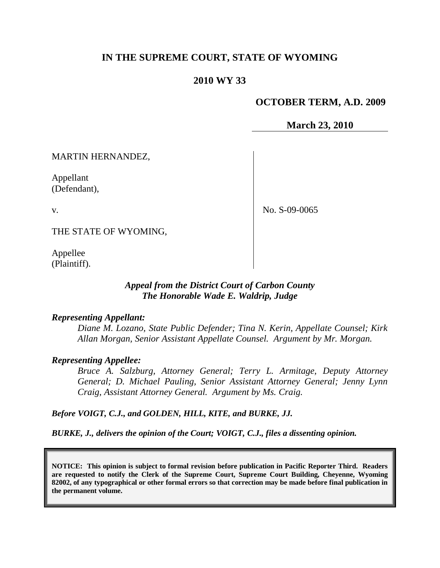## **IN THE SUPREME COURT, STATE OF WYOMING**

## **2010 WY 33**

### **OCTOBER TERM, A.D. 2009**

**March 23, 2010**

MARTIN HERNANDEZ,

Appellant (Defendant),

v.

No. S-09-0065

THE STATE OF WYOMING,

Appellee (Plaintiff).

#### *Appeal from the District Court of Carbon County The Honorable Wade E. Waldrip, Judge*

#### *Representing Appellant:*

*Diane M. Lozano, State Public Defender; Tina N. Kerin, Appellate Counsel; Kirk Allan Morgan, Senior Assistant Appellate Counsel. Argument by Mr. Morgan.*

#### *Representing Appellee:*

*Bruce A. Salzburg, Attorney General; Terry L. Armitage, Deputy Attorney General; D. Michael Pauling, Senior Assistant Attorney General; Jenny Lynn Craig, Assistant Attorney General. Argument by Ms. Craig.*

*Before VOIGT, C.J., and GOLDEN, HILL, KITE, and BURKE, JJ.*

*BURKE, J., delivers the opinion of the Court; VOIGT, C.J., files a dissenting opinion.*

**NOTICE: This opinion is subject to formal revision before publication in Pacific Reporter Third. Readers are requested to notify the Clerk of the Supreme Court, Supreme Court Building, Cheyenne, Wyoming 82002, of any typographical or other formal errors so that correction may be made before final publication in the permanent volume.**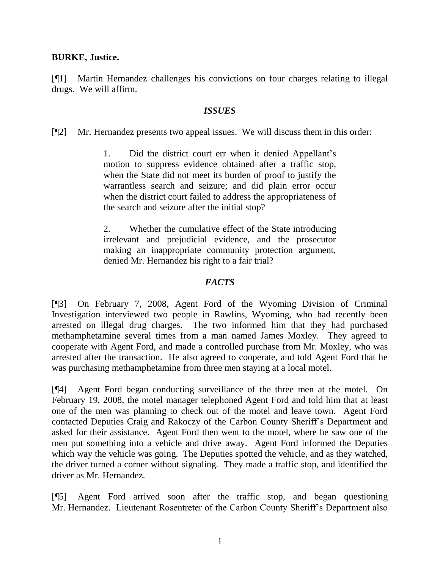#### **BURKE, Justice.**

[¶1] Martin Hernandez challenges his convictions on four charges relating to illegal drugs. We will affirm.

### *ISSUES*

[¶2] Mr. Hernandez presents two appeal issues. We will discuss them in this order:

1. Did the district court err when it denied Appellant"s motion to suppress evidence obtained after a traffic stop, when the State did not meet its burden of proof to justify the warrantless search and seizure; and did plain error occur when the district court failed to address the appropriateness of the search and seizure after the initial stop?

2. Whether the cumulative effect of the State introducing irrelevant and prejudicial evidence, and the prosecutor making an inappropriate community protection argument, denied Mr. Hernandez his right to a fair trial?

### *FACTS*

[¶3] On February 7, 2008, Agent Ford of the Wyoming Division of Criminal Investigation interviewed two people in Rawlins, Wyoming, who had recently been arrested on illegal drug charges. The two informed him that they had purchased methamphetamine several times from a man named James Moxley. They agreed to cooperate with Agent Ford, and made a controlled purchase from Mr. Moxley, who was arrested after the transaction. He also agreed to cooperate, and told Agent Ford that he was purchasing methamphetamine from three men staying at a local motel.

[¶4] Agent Ford began conducting surveillance of the three men at the motel. On February 19, 2008, the motel manager telephoned Agent Ford and told him that at least one of the men was planning to check out of the motel and leave town. Agent Ford contacted Deputies Craig and Rakoczy of the Carbon County Sheriff"s Department and asked for their assistance. Agent Ford then went to the motel, where he saw one of the men put something into a vehicle and drive away. Agent Ford informed the Deputies which way the vehicle was going. The Deputies spotted the vehicle, and as they watched, the driver turned a corner without signaling. They made a traffic stop, and identified the driver as Mr. Hernandez.

[¶5] Agent Ford arrived soon after the traffic stop, and began questioning Mr. Hernandez. Lieutenant Rosentreter of the Carbon County Sheriff"s Department also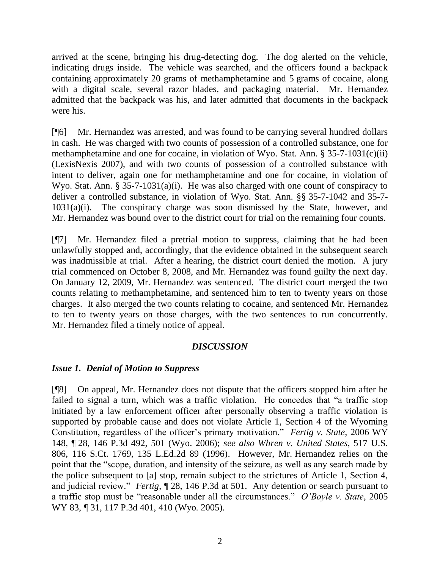arrived at the scene, bringing his drug-detecting dog. The dog alerted on the vehicle, indicating drugs inside. The vehicle was searched, and the officers found a backpack containing approximately 20 grams of methamphetamine and 5 grams of cocaine, along with a digital scale, several razor blades, and packaging material. Mr. Hernandez admitted that the backpack was his, and later admitted that documents in the backpack were his.

[¶6] Mr. Hernandez was arrested, and was found to be carrying several hundred dollars in cash. He was charged with two counts of possession of a controlled substance, one for methamphetamine and one for cocaine, in violation of Wyo. Stat. Ann. § 35-7-1031(c)(ii) (LexisNexis 2007), and with two counts of possession of a controlled substance with intent to deliver, again one for methamphetamine and one for cocaine, in violation of Wyo. Stat. Ann. § 35-7-1031(a)(i). He was also charged with one count of conspiracy to deliver a controlled substance, in violation of Wyo. Stat. Ann. §§ 35-7-1042 and 35-7-  $1031(a)(i)$ . The conspiracy charge was soon dismissed by the State, however, and Mr. Hernandez was bound over to the district court for trial on the remaining four counts.

[¶7] Mr. Hernandez filed a pretrial motion to suppress, claiming that he had been unlawfully stopped and, accordingly, that the evidence obtained in the subsequent search was inadmissible at trial. After a hearing, the district court denied the motion. A jury trial commenced on October 8, 2008, and Mr. Hernandez was found guilty the next day. On January 12, 2009, Mr. Hernandez was sentenced. The district court merged the two counts relating to methamphetamine, and sentenced him to ten to twenty years on those charges. It also merged the two counts relating to cocaine, and sentenced Mr. Hernandez to ten to twenty years on those charges, with the two sentences to run concurrently. Mr. Hernandez filed a timely notice of appeal.

## *DISCUSSION*

## *Issue 1. Denial of Motion to Suppress*

[¶8] On appeal, Mr. Hernandez does not dispute that the officers stopped him after he failed to signal a turn, which was a traffic violation. He concedes that "a traffic stop initiated by a law enforcement officer after personally observing a traffic violation is supported by probable cause and does not violate Article 1, Section 4 of the Wyoming Constitution, regardless of the officer"s primary motivation." *Fertig v. State*, 2006 WY 148, ¶ 28, 146 P.3d 492, 501 (Wyo. 2006); *see also Whren v. United States*, 517 U.S. 806, 116 S.Ct. 1769, 135 L.Ed.2d 89 (1996). However, Mr. Hernandez relies on the point that the "scope, duration, and intensity of the seizure, as well as any search made by the police subsequent to [a] stop, remain subject to the strictures of Article 1, Section 4, and judicial review." *Fertig*, ¶ 28, 146 P.3d at 501. Any detention or search pursuant to a traffic stop must be "reasonable under all the circumstances." *O'Boyle v. State*, 2005 WY 83, ¶ 31, 117 P.3d 401, 410 (Wyo. 2005).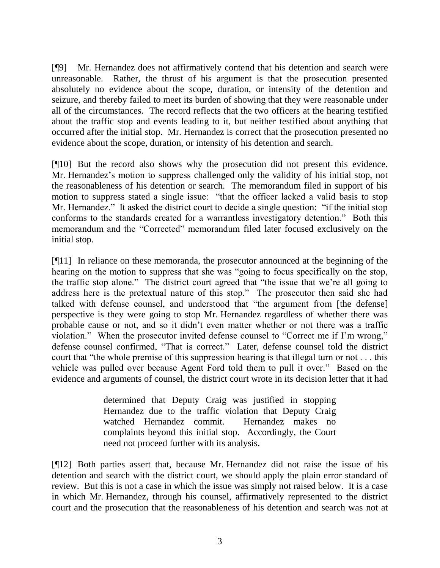[¶9] Mr. Hernandez does not affirmatively contend that his detention and search were unreasonable. Rather, the thrust of his argument is that the prosecution presented absolutely no evidence about the scope, duration, or intensity of the detention and seizure, and thereby failed to meet its burden of showing that they were reasonable under all of the circumstances. The record reflects that the two officers at the hearing testified about the traffic stop and events leading to it, but neither testified about anything that occurred after the initial stop. Mr. Hernandez is correct that the prosecution presented no evidence about the scope, duration, or intensity of his detention and search.

[¶10] But the record also shows why the prosecution did not present this evidence. Mr. Hernandez's motion to suppress challenged only the validity of his initial stop, not the reasonableness of his detention or search. The memorandum filed in support of his motion to suppress stated a single issue: "that the officer lacked a valid basis to stop Mr. Hernandez." It asked the district court to decide a single question: "if the initial stop conforms to the standards created for a warrantless investigatory detention." Both this memorandum and the "Corrected" memorandum filed later focused exclusively on the initial stop.

[¶11] In reliance on these memoranda, the prosecutor announced at the beginning of the hearing on the motion to suppress that she was "going to focus specifically on the stop, the traffic stop alone." The district court agreed that "the issue that we"re all going to address here is the pretextual nature of this stop." The prosecutor then said she had talked with defense counsel, and understood that "the argument from [the defense] perspective is they were going to stop Mr. Hernandez regardless of whether there was probable cause or not, and so it didn"t even matter whether or not there was a traffic violation." When the prosecutor invited defense counsel to "Correct me if I"m wrong," defense counsel confirmed, "That is correct." Later, defense counsel told the district court that "the whole premise of this suppression hearing is that illegal turn or not . . . this vehicle was pulled over because Agent Ford told them to pull it over." Based on the evidence and arguments of counsel, the district court wrote in its decision letter that it had

> determined that Deputy Craig was justified in stopping Hernandez due to the traffic violation that Deputy Craig watched Hernandez commit. Hernandez makes no complaints beyond this initial stop. Accordingly, the Court need not proceed further with its analysis.

[¶12] Both parties assert that, because Mr. Hernandez did not raise the issue of his detention and search with the district court, we should apply the plain error standard of review. But this is not a case in which the issue was simply not raised below. It is a case in which Mr. Hernandez, through his counsel, affirmatively represented to the district court and the prosecution that the reasonableness of his detention and search was not at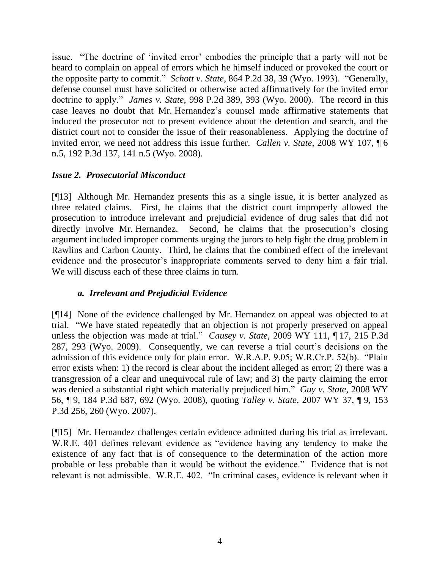issue. "The doctrine of 'invited error' embodies the principle that a party will not be heard to complain on appeal of errors which he himself induced or provoked the court or the opposite party to commit." *Schott v. State*, 864 P.2d 38, 39 (Wyo. 1993). "Generally, defense counsel must have solicited or otherwise acted affirmatively for the invited error doctrine to apply." *James v. State*, 998 P.2d 389, 393 (Wyo. 2000). The record in this case leaves no doubt that Mr. Hernandez"s counsel made affirmative statements that induced the prosecutor not to present evidence about the detention and search, and the district court not to consider the issue of their reasonableness. Applying the doctrine of invited error, we need not address this issue further. *Callen v. State*, 2008 WY 107, ¶ 6 n.5, 192 P.3d 137, 141 n.5 (Wyo. 2008).

## *Issue 2. Prosecutorial Misconduct*

[¶13] Although Mr. Hernandez presents this as a single issue, it is better analyzed as three related claims. First, he claims that the district court improperly allowed the prosecution to introduce irrelevant and prejudicial evidence of drug sales that did not directly involve Mr. Hernandez. Second, he claims that the prosecution"s closing argument included improper comments urging the jurors to help fight the drug problem in Rawlins and Carbon County. Third, he claims that the combined effect of the irrelevant evidence and the prosecutor's inappropriate comments served to deny him a fair trial. We will discuss each of these three claims in turn.

# *a. Irrelevant and Prejudicial Evidence*

[¶14] None of the evidence challenged by Mr. Hernandez on appeal was objected to at trial. "We have stated repeatedly that an objection is not properly preserved on appeal unless the objection was made at trial." *Causey v. State*, 2009 WY 111, ¶ 17, 215 P.3d 287, 293 (Wyo. 2009). Consequently, we can reverse a trial court"s decisions on the admission of this evidence only for plain error. W.R.A.P. 9.05; W.R.Cr.P. 52(b). "Plain error exists when: 1) the record is clear about the incident alleged as error; 2) there was a transgression of a clear and unequivocal rule of law; and 3) the party claiming the error was denied a substantial right which materially prejudiced him." *Guy v. State*, 2008 WY 56, ¶ 9, 184 P.3d 687, 692 (Wyo. 2008), quoting *Talley v. State*, 2007 WY 37, ¶ 9, 153 P.3d 256, 260 (Wyo. 2007).

[¶15] Mr. Hernandez challenges certain evidence admitted during his trial as irrelevant. W.R.E. 401 defines relevant evidence as "evidence having any tendency to make the existence of any fact that is of consequence to the determination of the action more probable or less probable than it would be without the evidence." Evidence that is not relevant is not admissible. W.R.E. 402. "In criminal cases, evidence is relevant when it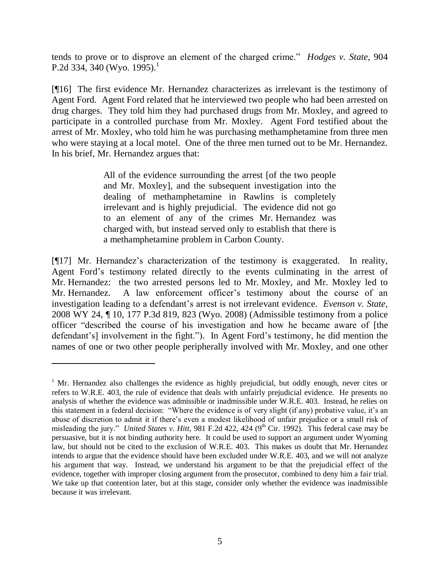tends to prove or to disprove an element of the charged crime." *Hodges v. State*, 904 P.2d 334, 340 (Wyo. 1995).<sup>1</sup>

[¶16] The first evidence Mr. Hernandez characterizes as irrelevant is the testimony of Agent Ford. Agent Ford related that he interviewed two people who had been arrested on drug charges. They told him they had purchased drugs from Mr. Moxley, and agreed to participate in a controlled purchase from Mr. Moxley. Agent Ford testified about the arrest of Mr. Moxley, who told him he was purchasing methamphetamine from three men who were staying at a local motel. One of the three men turned out to be Mr. Hernandez. In his brief, Mr. Hernandez argues that:

> All of the evidence surrounding the arrest [of the two people and Mr. Moxley], and the subsequent investigation into the dealing of methamphetamine in Rawlins is completely irrelevant and is highly prejudicial. The evidence did not go to an element of any of the crimes Mr. Hernandez was charged with, but instead served only to establish that there is a methamphetamine problem in Carbon County.

[¶17] Mr. Hernandez"s characterization of the testimony is exaggerated. In reality, Agent Ford"s testimony related directly to the events culminating in the arrest of Mr. Hernandez: the two arrested persons led to Mr. Moxley, and Mr. Moxley led to Mr. Hernandez. A law enforcement officer's testimony about the course of an investigation leading to a defendant's arrest is not irrelevant evidence. *Evenson v. State*, 2008 WY 24, ¶ 10, 177 P.3d 819, 823 (Wyo. 2008) (Admissible testimony from a police officer "described the course of his investigation and how he became aware of [the defendant's] involvement in the fight."). In Agent Ford's testimony, he did mention the names of one or two other people peripherally involved with Mr. Moxley, and one other

 $\overline{a}$ 

 $1$  Mr. Hernandez also challenges the evidence as highly prejudicial, but oddly enough, never cites or refers to W.R.E. 403, the rule of evidence that deals with unfairly prejudicial evidence. He presents no analysis of whether the evidence was admissible or inadmissible under W.R.E. 403. Instead, he relies on this statement in a federal decision: "Where the evidence is of very slight (if any) probative value, it's an abuse of discretion to admit it if there"s even a modest likelihood of unfair prejudice or a small risk of misleading the jury." *United States v. Hitt*, 981 F.2d 422, 424 (9<sup>th</sup> Cir. 1992). This federal case may be persuasive, but it is not binding authority here. It could be used to support an argument under Wyoming law, but should not be cited to the exclusion of W.R.E. 403. This makes us doubt that Mr. Hernandez intends to argue that the evidence should have been excluded under W.R.E. 403, and we will not analyze his argument that way. Instead, we understand his argument to be that the prejudicial effect of the evidence, together with improper closing argument from the prosecutor, combined to deny him a fair trial. We take up that contention later, but at this stage, consider only whether the evidence was inadmissible because it was irrelevant.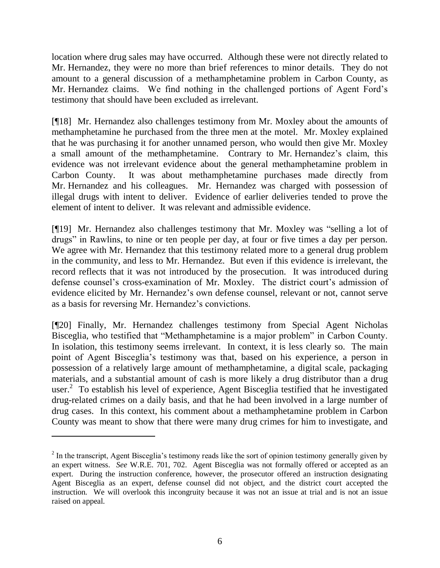location where drug sales may have occurred. Although these were not directly related to Mr. Hernandez, they were no more than brief references to minor details. They do not amount to a general discussion of a methamphetamine problem in Carbon County, as Mr. Hernandez claims. We find nothing in the challenged portions of Agent Ford"s testimony that should have been excluded as irrelevant.

[¶18] Mr. Hernandez also challenges testimony from Mr. Moxley about the amounts of methamphetamine he purchased from the three men at the motel. Mr. Moxley explained that he was purchasing it for another unnamed person, who would then give Mr. Moxley a small amount of the methamphetamine. Contrary to Mr. Hernandez's claim, this evidence was not irrelevant evidence about the general methamphetamine problem in Carbon County. It was about methamphetamine purchases made directly from Mr. Hernandez and his colleagues. Mr. Hernandez was charged with possession of illegal drugs with intent to deliver. Evidence of earlier deliveries tended to prove the element of intent to deliver. It was relevant and admissible evidence.

[¶19] Mr. Hernandez also challenges testimony that Mr. Moxley was "selling a lot of drugs" in Rawlins, to nine or ten people per day, at four or five times a day per person. We agree with Mr. Hernandez that this testimony related more to a general drug problem in the community, and less to Mr. Hernandez. But even if this evidence is irrelevant, the record reflects that it was not introduced by the prosecution. It was introduced during defense counsel's cross-examination of Mr. Moxley. The district court's admission of evidence elicited by Mr. Hernandez"s own defense counsel, relevant or not, cannot serve as a basis for reversing Mr. Hernandez"s convictions.

[¶20] Finally, Mr. Hernandez challenges testimony from Special Agent Nicholas Bisceglia, who testified that "Methamphetamine is a major problem" in Carbon County. In isolation, this testimony seems irrelevant. In context, it is less clearly so. The main point of Agent Bisceglia"s testimony was that, based on his experience, a person in possession of a relatively large amount of methamphetamine, a digital scale, packaging materials, and a substantial amount of cash is more likely a drug distributor than a drug user.<sup>2</sup> To establish his level of experience, Agent Bisceglia testified that he investigated drug-related crimes on a daily basis, and that he had been involved in a large number of drug cases. In this context, his comment about a methamphetamine problem in Carbon County was meant to show that there were many drug crimes for him to investigate, and

 $\overline{a}$ 

 $2<sup>2</sup>$  In the transcript, Agent Bisceglia's testimony reads like the sort of opinion testimony generally given by an expert witness. *See* W.R.E. 701, 702. Agent Bisceglia was not formally offered or accepted as an expert. During the instruction conference, however, the prosecutor offered an instruction designating Agent Bisceglia as an expert, defense counsel did not object, and the district court accepted the instruction. We will overlook this incongruity because it was not an issue at trial and is not an issue raised on appeal.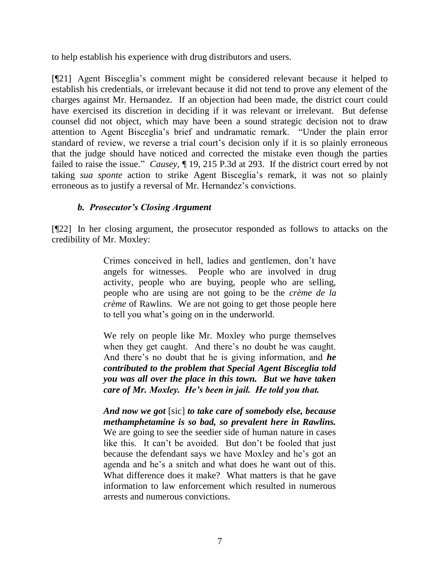to help establish his experience with drug distributors and users.

[¶21] Agent Bisceglia"s comment might be considered relevant because it helped to establish his credentials, or irrelevant because it did not tend to prove any element of the charges against Mr. Hernandez. If an objection had been made, the district court could have exercised its discretion in deciding if it was relevant or irrelevant. But defense counsel did not object, which may have been a sound strategic decision not to draw attention to Agent Bisceglia"s brief and undramatic remark. "Under the plain error standard of review, we reverse a trial court's decision only if it is so plainly erroneous that the judge should have noticed and corrected the mistake even though the parties failed to raise the issue." *Causey*, ¶ 19, 215 P.3d at 293. If the district court erred by not taking *sua sponte* action to strike Agent Bisceglia"s remark, it was not so plainly erroneous as to justify a reversal of Mr. Hernandez"s convictions.

## *b. Prosecutor's Closing Argument*

[¶22] In her closing argument, the prosecutor responded as follows to attacks on the credibility of Mr. Moxley:

> Crimes conceived in hell, ladies and gentlemen, don"t have angels for witnesses. People who are involved in drug activity, people who are buying, people who are selling, people who are using are not going to be the *crème de la crème* of Rawlins. We are not going to get those people here to tell you what"s going on in the underworld.

> We rely on people like Mr. Moxley who purge themselves when they get caught. And there's no doubt he was caught. And there"s no doubt that he is giving information, and *he contributed to the problem that Special Agent Bisceglia told you was all over the place in this town. But we have taken care of Mr. Moxley. He's been in jail. He told you that.*

> *And now we got* [sic] *to take care of somebody else, because methamphetamine is so bad, so prevalent here in Rawlins.*  We are going to see the seedier side of human nature in cases like this. It can't be avoided. But don't be fooled that just because the defendant says we have Moxley and he"s got an agenda and he"s a snitch and what does he want out of this. What difference does it make? What matters is that he gave information to law enforcement which resulted in numerous arrests and numerous convictions.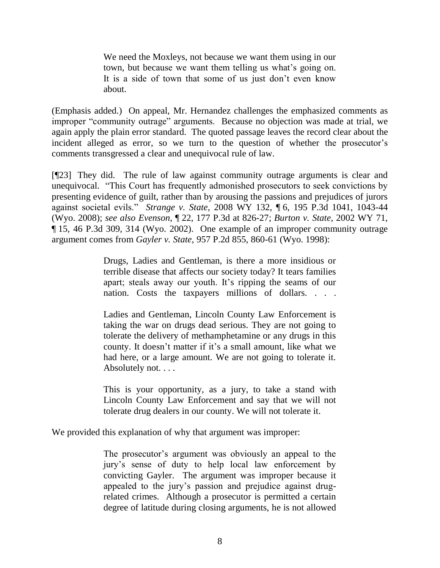We need the Moxleys, not because we want them using in our town, but because we want them telling us what's going on. It is a side of town that some of us just don't even know about.

(Emphasis added.) On appeal, Mr. Hernandez challenges the emphasized comments as improper "community outrage" arguments. Because no objection was made at trial, we again apply the plain error standard. The quoted passage leaves the record clear about the incident alleged as error, so we turn to the question of whether the prosecutor's comments transgressed a clear and unequivocal rule of law.

[¶23] They did. The rule of law against community outrage arguments is clear and unequivocal. "This Court has frequently admonished prosecutors to seek convictions by presenting evidence of guilt, rather than by arousing the passions and prejudices of jurors against societal evils." *Strange v. State*, 2008 WY 132, ¶ 6, 195 P.3d 1041, 1043-44 (Wyo. 2008); *see also Evenson*, ¶ 22, 177 P.3d at 826-27; *Burton v. State*, 2002 WY 71, ¶ 15, 46 P.3d 309, 314 (Wyo. 2002). One example of an improper community outrage argument comes from *Gayler v. State*, 957 P.2d 855, 860-61 (Wyo. 1998):

> Drugs, Ladies and Gentleman, is there a more insidious or terrible disease that affects our society today? It tears families apart; steals away our youth. It's ripping the seams of our nation. Costs the taxpayers millions of dollars. . . .

> Ladies and Gentleman, Lincoln County Law Enforcement is taking the war on drugs dead serious. They are not going to tolerate the delivery of methamphetamine or any drugs in this county. It doesn't matter if it's a small amount, like what we had here, or a large amount. We are not going to tolerate it. Absolutely not. . . .

> This is your opportunity, as a jury, to take a stand with Lincoln County Law Enforcement and say that we will not tolerate drug dealers in our county. We will not tolerate it.

We provided this explanation of why that argument was improper:

The prosecutor's argument was obviously an appeal to the jury"s sense of duty to help local law enforcement by convicting Gayler. The argument was improper because it appealed to the jury"s passion and prejudice against drugrelated crimes. Although a prosecutor is permitted a certain degree of latitude during closing arguments, he is not allowed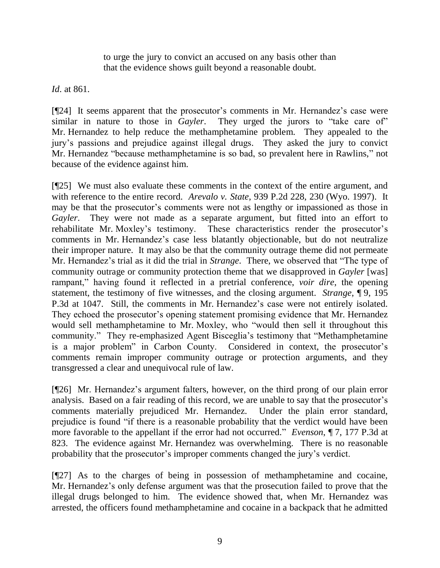to urge the jury to convict an accused on any basis other than that the evidence shows guilt beyond a reasonable doubt.

*Id*. at 861.

[¶24] It seems apparent that the prosecutor's comments in Mr. Hernandez's case were similar in nature to those in *Gayler*. They urged the jurors to "take care of" Mr. Hernandez to help reduce the methamphetamine problem. They appealed to the jury"s passions and prejudice against illegal drugs. They asked the jury to convict Mr. Hernandez "because methamphetamine is so bad, so prevalent here in Rawlins," not because of the evidence against him.

[¶25] We must also evaluate these comments in the context of the entire argument, and with reference to the entire record. *Arevalo v. State*, 939 P.2d 228, 230 (Wyo. 1997). It may be that the prosecutor's comments were not as lengthy or impassioned as those in *Gayler*. They were not made as a separate argument, but fitted into an effort to rehabilitate Mr. Moxley's testimony. These characteristics render the prosecutor's comments in Mr. Hernandez's case less blatantly objectionable, but do not neutralize their improper nature. It may also be that the community outrage theme did not permeate Mr. Hernandez"s trial as it did the trial in *Strange*. There, we observed that "The type of community outrage or community protection theme that we disapproved in *Gayler* [was] rampant," having found it reflected in a pretrial conference, *voir dire*, the opening statement, the testimony of five witnesses, and the closing argument. *Strange*, ¶ 9, 195 P.3d at 1047. Still, the comments in Mr. Hernandez's case were not entirely isolated. They echoed the prosecutor's opening statement promising evidence that Mr. Hernandez would sell methamphetamine to Mr. Moxley, who "would then sell it throughout this community." They re-emphasized Agent Bisceglia"s testimony that "Methamphetamine is a major problem" in Carbon County. Considered in context, the prosecutor's comments remain improper community outrage or protection arguments, and they transgressed a clear and unequivocal rule of law.

[¶26] Mr. Hernandez's argument falters, however, on the third prong of our plain error analysis. Based on a fair reading of this record, we are unable to say that the prosecutor's comments materially prejudiced Mr. Hernandez. Under the plain error standard, prejudice is found "if there is a reasonable probability that the verdict would have been more favorable to the appellant if the error had not occurred." *Evenson*, ¶ 7, 177 P.3d at 823. The evidence against Mr. Hernandez was overwhelming. There is no reasonable probability that the prosecutor"s improper comments changed the jury"s verdict.

[¶27] As to the charges of being in possession of methamphetamine and cocaine, Mr. Hernandez's only defense argument was that the prosecution failed to prove that the illegal drugs belonged to him. The evidence showed that, when Mr. Hernandez was arrested, the officers found methamphetamine and cocaine in a backpack that he admitted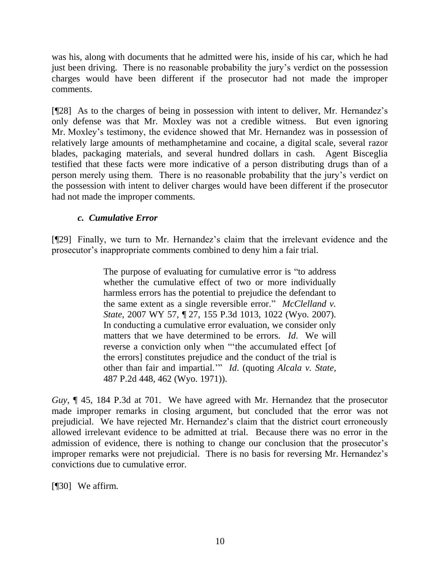was his, along with documents that he admitted were his, inside of his car, which he had just been driving. There is no reasonable probability the jury"s verdict on the possession charges would have been different if the prosecutor had not made the improper comments.

[¶28] As to the charges of being in possession with intent to deliver, Mr. Hernandez's only defense was that Mr. Moxley was not a credible witness. But even ignoring Mr. Moxley's testimony, the evidence showed that Mr. Hernandez was in possession of relatively large amounts of methamphetamine and cocaine, a digital scale, several razor blades, packaging materials, and several hundred dollars in cash. Agent Bisceglia testified that these facts were more indicative of a person distributing drugs than of a person merely using them. There is no reasonable probability that the jury"s verdict on the possession with intent to deliver charges would have been different if the prosecutor had not made the improper comments.

## *c. Cumulative Error*

[¶29] Finally, we turn to Mr. Hernandez"s claim that the irrelevant evidence and the prosecutor"s inappropriate comments combined to deny him a fair trial.

> The purpose of evaluating for cumulative error is "to address whether the cumulative effect of two or more individually harmless errors has the potential to prejudice the defendant to the same extent as a single reversible error." *McClelland v. State*, 2007 WY 57, ¶ 27, 155 P.3d 1013, 1022 (Wyo. 2007). In conducting a cumulative error evaluation, we consider only matters that we have determined to be errors. *Id*. We will reverse a conviction only when ""the accumulated effect [of the errors] constitutes prejudice and the conduct of the trial is other than fair and impartial."" *Id*. (quoting *Alcala v. State*, 487 P.2d 448, 462 (Wyo. 1971)).

*Guy*, ¶ 45, 184 P.3d at 701. We have agreed with Mr. Hernandez that the prosecutor made improper remarks in closing argument, but concluded that the error was not prejudicial. We have rejected Mr. Hernandez's claim that the district court erroneously allowed irrelevant evidence to be admitted at trial. Because there was no error in the admission of evidence, there is nothing to change our conclusion that the prosecutor's improper remarks were not prejudicial. There is no basis for reversing Mr. Hernandez's convictions due to cumulative error.

[¶30] We affirm.